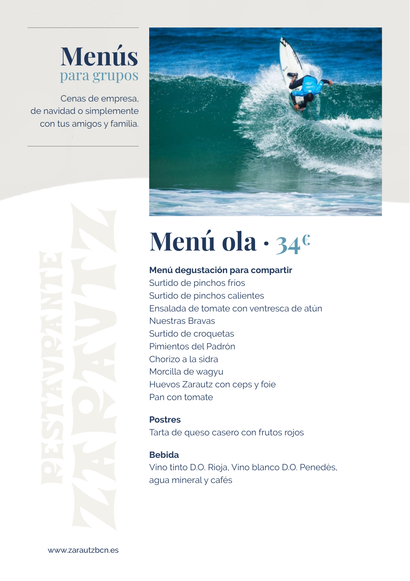## **Menús** para grupos

Cenas de empresa, de navidad o simplemente con tus amigos y familia.



# **Menú ola · 34€**

#### **Menú degustación para compartir**

Surtido de pinchos fríos Surtido de pinchos calientes Ensalada de tomate con ventresca de atún Nuestras Bravas Surtido de croquetas Pimientos del Padrón Chorizo a la sidra Morcilla de wagyu Huevos Zarautz con ceps y foie Pan con tomate

**Postres** Tarta de queso casero con frutos rojos

#### **Bebida**

Vino tinto D.O. Rioja, Vino blanco D.O. Penedès, agua mineral y cafés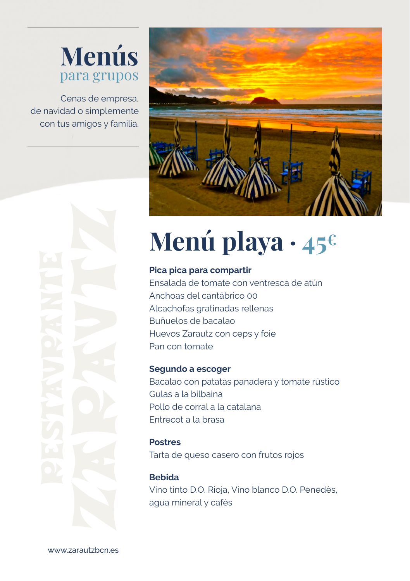## **Menús** para grupos

Cenas de empresa, de navidad o simplemente con tus amigos y familia.





# **Menú playa · 45€**

#### **Pica pica para compartir**

Ensalada de tomate con ventresca de atún Anchoas del cantábrico 00 Alcachofas gratinadas rellenas Buñuelos de bacalao Huevos Zarautz con ceps y foie Pan con tomate

#### **Segundo a escoger**

Bacalao con patatas panadera y tomate rústico Gulas a la bilbaina Pollo de corral a la catalana Entrecot a la brasa

#### **Postres**

Tarta de queso casero con frutos rojos

#### **Bebida**

Vino tinto D.O. Rioja, Vino blanco D.O. Penedès, agua mineral y cafés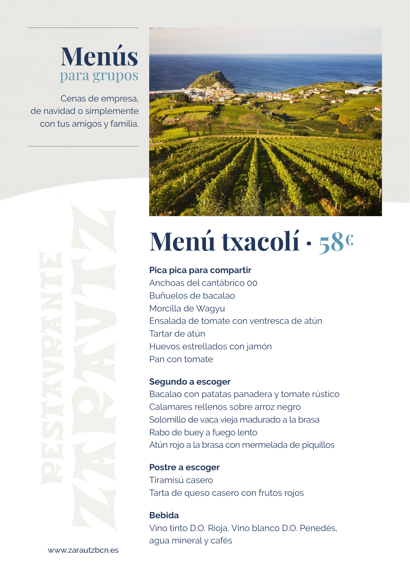## **Menús** para grupos

Cenas de empresa, de navidad o simplemente con tus amigos y familia.



# **Menú txacolí · 58€**

#### **Pica pica para compartir**

Anchoas del cantábrico 00 Buñuelos de bacalao Morcilla de Wagyu Ensalada de tomate con ventresca de atún Tartar de atún Huevos estrellados con jamón Pan con tomate

#### **Segundo a escoger**

Bacalao con patatas panadera y tomate rústico Calamares rellenos sobre arroz negro Solomillo de vaca vieja madurado a la brasa Rabo de buey a fuego lento Atún rojo a la brasa con mermelada de piquillos

**Postre a escoger** Tiramisú casero Tarta de queso casero con frutos rojos

**Bebida** Vino tinto D.O. Rioja, Vino blanco D.O. Penedès, agua mineral y cafés

www.zarautzbcn.es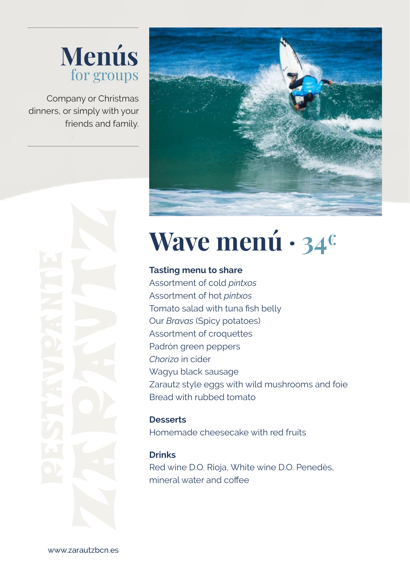

Company or Christmas dinners, or simply with your friends and family.





## **Wave menú · 34€**

#### **Tasting menu to share**

Assortment of cold *pintxos* Assortment of hot *pintxos* Tomato salad with tuna fish belly Our *Bravas* (Spicy potatoes) Assortment of croquettes Padrón green peppers *Chorizo* in cider Wagyu black sausage Zarautz style eggs with wild mushrooms and foie Bread with rubbed tomato

#### **Desserts**

Homemade cheesecake with red fruits

#### **Drinks**

Red wine D.O. Rioja, White wine D.O. Penedès, mineral water and coffee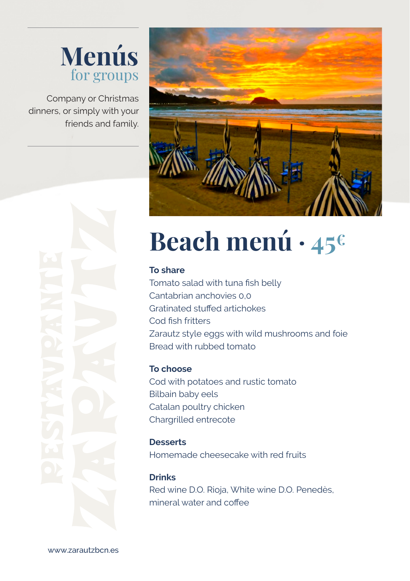### **Menús** for groups

Company or Christmas dinners, or simply with your friends and family.



## **Beach menú · 45€**

#### **To share**

Tomato salad with tuna fish belly Cantabrian anchovies 0,0 Gratinated stuffed artichokes Cod fish fritters Zarautz style eggs with wild mushrooms and foie Bread with rubbed tomato

#### **To choose**

Cod with potatoes and rustic tomato Bilbain baby eels Catalan poultry chicken Chargrilled entrecote

#### **Desserts**

Homemade cheesecake with red fruits

#### **Drinks** Red wine D.O. Rioja, White wine D.O. Penedès,

mineral water and coffee